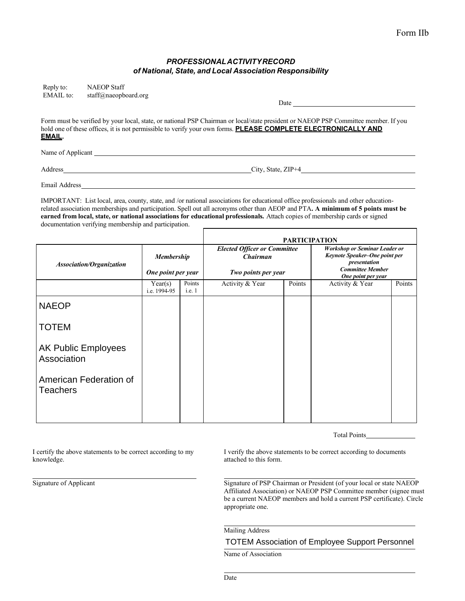## *PROFESSIONALACTIVITYRECORD of National, State, and Local Association Responsibility*

| Reply to:         | <b>NAEOP</b> Staff   |                                                                                                                                                                                                                                                      |
|-------------------|----------------------|------------------------------------------------------------------------------------------------------------------------------------------------------------------------------------------------------------------------------------------------------|
| EMAIL to:         | staff@naeopboard.org |                                                                                                                                                                                                                                                      |
|                   |                      | <b>Date</b> and <b>Date</b>                                                                                                                                                                                                                          |
| <u>EMAIL.</u>     |                      | Form must be verified by your local, state, or national PSP Chairman or local/state president or NAEOP PSP Committee member. If you<br>hold one of these offices, it is not permissible to verify your own forms. PLEASE COMPLETE ELECTRONICALLY AND |
| Name of Applicant |                      |                                                                                                                                                                                                                                                      |

Address City, State, ZIP+4

Email Address

IMPORTANT: List local, area, county, state, and /or national associations for educational office professionals and other educationrelated association memberships and participation. Spell out all acronyms other than AEOP and PTA**. A minimum of 5 points must be earned from local, state, or national associations for educational professionals.** Attach copies of membership cards or signed documentation verifying membership and participation.

|                                           |                                         |                  | <b>PARTICIPATION</b>                                                          |        |                                                                                                                                        |        |  |
|-------------------------------------------|-----------------------------------------|------------------|-------------------------------------------------------------------------------|--------|----------------------------------------------------------------------------------------------------------------------------------------|--------|--|
| <b>Association/Organization</b>           | <b>Membership</b><br>One point per year |                  | <b>Elected Officer or Committee</b><br><b>Chairman</b><br>Two points per year |        | <b>Workshop or Seminar Leader or</b><br>Keynote Speaker-One point per<br>presentation<br><b>Committee Member</b><br>One point per year |        |  |
|                                           | Year(s)<br>i.e. 1994-95                 | Points<br>i.e. 1 | Activity & Year                                                               | Points | Activity & Year                                                                                                                        | Points |  |
| <b>NAEOP</b>                              |                                         |                  |                                                                               |        |                                                                                                                                        |        |  |
| <b>TOTEM</b>                              |                                         |                  |                                                                               |        |                                                                                                                                        |        |  |
| <b>AK Public Employees</b><br>Association |                                         |                  |                                                                               |        |                                                                                                                                        |        |  |
| American Federation of<br><b>Teachers</b> |                                         |                  |                                                                               |        |                                                                                                                                        |        |  |

Total Points

knowledge.  $\blacksquare$ 

I certify the above statements to be correct according to my I verify the above statements to be correct according to documents

Signature of Applicant Signature of PSP Chairman or President (of your local or state NAEOP Affiliated Association) or NAEOP PSP Committee member (signee must be a current NAEOP members and hold a current PSP certificate). Circle appropriate one.

Mailing Address

## TOTEM Association of Employee Support Personnel

Name of Association